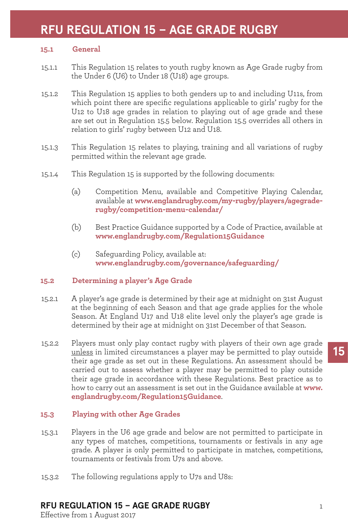# **RFU REGULATION 15 – AGE GRADE RUGBY**

#### **15.1 General**

- 15.1.1 This Regulation 15 relates to youth rugby known as Age Grade rugby from the Under 6 (U6) to Under 18 (U18) age groups.
- 15.1.2 This Regulation 15 applies to both genders up to and including U11s, from which point there are specific regulations applicable to girls' rugby for the U12 to U18 age grades in relation to playing out of age grade and these are set out in Regulation 15.5 below. Regulation 15.5 overrides all others in relation to girls' rugby between U12 and U18.
- 15.1.3 This Regulation 15 relates to playing, training and all variations of rugby permitted within the relevant age grade.
- 15.1.4 This Regulation 15 is supported by the following documents:
	- (a) Competition Menu, available and Competitive Playing Calendar, available at **www.englandrugby.com/my-rugby/players/agegraderugby/competition-menu-calendar/**
	- (b) Best Practice Guidance supported by a Code of Practice, available at **www.englandrugby.com/Regulation15Guidance**
	- (c) Safeguarding Policy, available at: **www.englandrugby.com/governance/safeguarding/**

#### **15.2 Determining a player's Age Grade**

- 15.2.1 A player's age grade is determined by their age at midnight on 31st August at the beginning of each Season and that age grade applies for the whole Season. At England U17 and U18 elite level only the player's age grade is determined by their age at midnight on 31st December of that Season.
- 15.2.2 Players must only play contact rugby with players of their own age grade unless in limited circumstances a player may be permitted to play outside their age grade as set out in these Regulations. An assessment should be carried out to assess whether a player may be permitted to play outside their age grade in accordance with these Regulations. Best practice as to how to carry out an assessment is set out in the Guidance available at **www. englandrugby.com/Regulation15Guidance**.

#### **15.3 Playing with other Age Grades**

- 15.3.1 Players in the U6 age grade and below are not permitted to participate in any types of matches, competitions, tournaments or festivals in any age grade. A player is only permitted to participate in matches, competitions, tournaments or festivals from U7s and above.
- 15.3.2 The following regulations apply to U7s and U8s:

# **RFU REGULATION 15 – AGE GRADE RUGBY**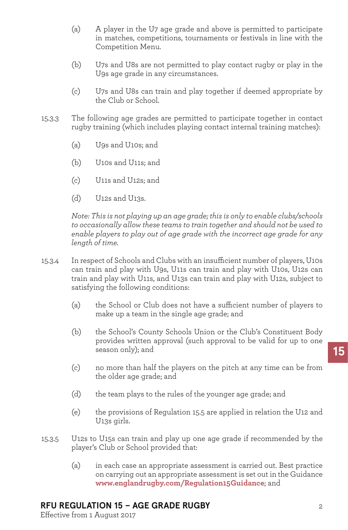- (a) A player in the U7 age grade and above is permitted to participate in matches, competitions, tournaments or festivals in line with the Competition Menu.
- (b) U7s and U8s are not permitted to play contact rugby or play in the U9s age grade in any circumstances.
- (c) U7s and U8s can train and play together if deemed appropriate by the Club or School.
- 15.3.3 The following age grades are permitted to participate together in contact rugby training (which includes playing contact internal training matches):
	- (a) U9s and U10s; and
	- (b) U10s and U11s; and
	- (c) U11s and U12s; and
	- (d) U12s and U13s.

*Note: This is not playing up an age grade; this is only to enable clubs/schools to occasionally allow these teams to train together and should not be used to enable players to play out of age grade with the incorrect age grade for any length of time.*

- 15.3.4 In respect of Schools and Clubs with an insufficient number of players, U10s can train and play with U9s, U11s can train and play with U10s, U12s can train and play with U11s, and U13s can train and play with U12s, subject to satisfying the following conditions:
	- (a) the School or Club does not have a sufficient number of players to make up a team in the single age grade; and
	- (b) the School's County Schools Union or the Club's Constituent Body provides written approval (such approval to be valid for up to one season only); and
	- (c) no more than half the players on the pitch at any time can be from the older age grade; and
	- (d) the team plays to the rules of the younger age grade; and
	- (e) the provisions of Regulation 15.5 are applied in relation the U12 and U13s girls.
- 15.3.5 U12s to U15s can train and play up one age grade if recommended by the player's Club or School provided that:
	- (a) in each case an appropriate assessment is carried out. Best practice on carrying out an appropriate assessment is set out in the Guidance **www.englandrugby.com/Regulation15Guidance**; and

# **RFU REGULATION 15 – AGE GRADE RUGBY**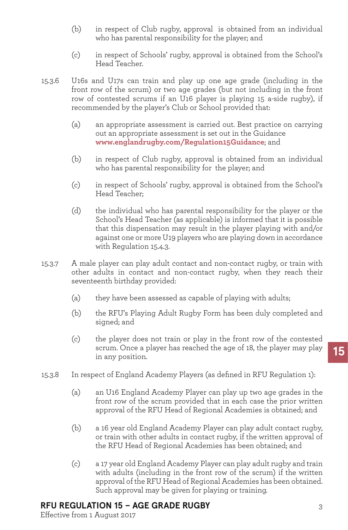- (b) in respect of Club rugby, approval is obtained from an individual who has parental responsibility for the player; and
- (c) in respect of Schools' rugby, approval is obtained from the School's Head Teacher.
- 15.3.6 U16s and U17s can train and play up one age grade (including in the front row of the scrum) or two age grades (but not including in the front row of contested scrums if an U16 player is playing 15 a-side rugby), if recommended by the player's Club or School provided that:
	- (a) an appropriate assessment is carried out. Best practice on carrying out an appropriate assessment is set out in the Guidance **www.englandrugby.com/Regulation15Guidance**; and
	- (b) in respect of Club rugby, approval is obtained from an individual who has parental responsibility for the player; and
	- (c) in respect of Schools' rugby, approval is obtained from the School's Head Teacher;
	- (d) the individual who has parental responsibility for the player or the School's Head Teacher (as applicable) is informed that it is possible that this dispensation may result in the player playing with and/or against one or more U19 players who are playing down in accordance with Regulation 15.4.3.
- 15.3.7 A male player can play adult contact and non-contact rugby, or train with other adults in contact and non-contact rugby, when they reach their seventeenth birthday provided:
	- (a) they have been assessed as capable of playing with adults;
	- (b) the RFU's Playing Adult Rugby Form has been duly completed and signed; and
	- (c) the player does not train or play in the front row of the contested scrum. Once a player has reached the age of 18, the player may play in any position.
- 15.3.8 In respect of England Academy Players (as defined in RFU Regulation 1):
	- (a) an U16 England Academy Player can play up two age grades in the front row of the scrum provided that in each case the prior written approval of the RFU Head of Regional Academies is obtained; and
	- (b) a 16 year old England Academy Player can play adult contact rugby, or train with other adults in contact rugby, if the written approval of the RFU Head of Regional Academies has been obtained; and
	- (c) a 17 year old England Academy Player can play adult rugby and train with adults (including in the front row of the scrum) if the written approval of the RFU Head of Regional Academies has been obtained. Such approval may be given for playing or training.

# **RFU REGULATION 15 – AGE GRADE RUGBY**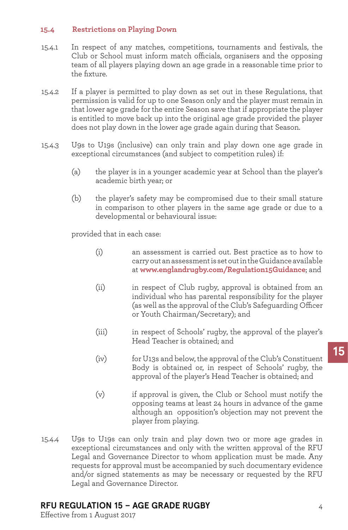#### **15.4 Restrictions on Playing Down**

- 15.4.1 In respect of any matches, competitions, tournaments and festivals, the Club or School must inform match officials, organisers and the opposing team of all players playing down an age grade in a reasonable time prior to the fixture.
- 15.4.2 If a player is permitted to play down as set out in these Regulations, that permission is valid for up to one Season only and the player must remain in that lower age grade for the entire Season save that if appropriate the player is entitled to move back up into the original age grade provided the player does not play down in the lower age grade again during that Season.
- 15.4.3 U9s to U19s (inclusive) can only train and play down one age grade in exceptional circumstances (and subject to competition rules) if:
	- (a) the player is in a younger academic year at School than the player's academic birth year; or
	- (b) the player's safety may be compromised due to their small stature in comparison to other players in the same age grade or due to a developmental or behavioural issue:

provided that in each case:

- (i) an assessment is carried out. Best practice as to how to carry out an assessment is set out in the Guidance available at **www.englandrugby.com/Regulation15Guidance**; and
- (ii) in respect of Club rugby, approval is obtained from an individual who has parental responsibility for the player (as well as the approval of the Club's Safeguarding Officer or Youth Chairman/Secretary); and
- (iii) in respect of Schools' rugby, the approval of the player's Head Teacher is obtained; and
- (iv) for U13s and below, the approval of the Club's Constituent Body is obtained or, in respect of Schools' rugby, the approval of the player's Head Teacher is obtained; and
- (v) if approval is given, the Club or School must notify the opposing teams at least 24 hours in advance of the game although an opposition's objection may not prevent the player from playing.
- 15.4.4 U9s to U19s can only train and play down two or more age grades in exceptional circumstances and only with the written approval of the RFU Legal and Governance Director to whom application must be made. Any requests for approval must be accompanied by such documentary evidence and/or signed statements as may be necessary or requested by the RFU Legal and Governance Director.

# **RFU REGULATION 15 – AGE GRADE RUGBY**

Effective from 1 August 2017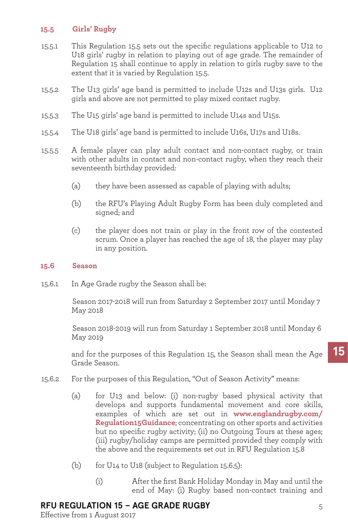#### **15.5 Girls' Rugby**

- 15.5.1 This Regulation 15.5 sets out the specific regulations applicable to U12 to U18 girls' rugby in relation to playing out of age grade. The remainder of Regulation 15 shall continue to apply in relation to girls rugby save to the extent that it is varied by Regulation 15.5.
- 15.5.2 The U13 girls' age band is permitted to include U12s and U13s girls. U12 girls and above are not permitted to play mixed contact rugby.
- 15.5.3 The U15 girls' age band is permitted to include U14s and U15s.
- 15.5.4 The U18 girls' age band is permitted to include U16s, U17s and U18s.
- 15.5.5 A female player can play adult contact and non-contact rugby, or train with other adults in contact and non-contact rugby, when they reach their seventeenth birthday provided:
	- (a) they have been assessed as capable of playing with adults;
	- (b) the RFU's Playing Adult Rugby Form has been duly completed and signed; and
	- (c) the player does not train or play in the front row of the contested scrum. Once a player has reached the age of 18, the player may play in any position.
- **15.6 Season**
- 15.6.1 In Age Grade rugby the Season shall be:

 Season 2017-2018 will run from Saturday 2 September 2017 until Monday 7 May 2018

 Season 2018-2019 will run from Saturday 1 September 2018 until Monday 6 May 2019

and for the purposes of this Regulation 15, the Season shall mean the Age Grade Season.

- 15.6.2 For the purposes of this Regulation, "Out of Season Activity" means:
	- (a) for U13 and below: (i) non-rugby based physical activity that develops and supports fundamental movement and core skills, examples of which are set out in **www.englandrugby.com/ Regulation15Guidance**; concentrating on other sports and activities but no specific rugby activity; (ii) no Outgoing Tours at these ages; (iii) rugby/holiday camps are permitted provided they comply with the above and the requirements set out in RFU Regulation 15.8
	- (b) for U14 to U18 (subject to Regulation 15.6.5):
		- (i) After the first Bank Holiday Monday in May and until the end of May: (i) Rugby based non-contact training and

# **RFU REGULATION 15 – AGE GRADE RUGBY**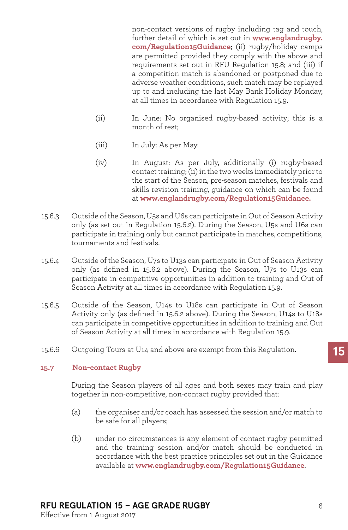non-contact versions of rugby including tag and touch, further detail of which is set out in **www.englandrugby. com/Regulation15Guidance**; (ii) rugby/holiday camps are permitted provided they comply with the above and requirements set out in RFU Regulation 15.8; and (iii) if a competition match is abandoned or postponed due to adverse weather conditions, such match may be replayed up to and including the last May Bank Holiday Monday, at all times in accordance with Regulation 15.9.

- (ii) In June: No organised rugby-based activity; this is a month of rest;
- (iii) In July: As per May.
- (iv) In August: As per July, additionally (i) rugby-based contact training; (ii) in the two weeks immediately prior to the start of the Season, pre-season matches, festivals and skills revision training, guidance on which can be found at **www.englandrugby.com/Regulation15Guidance.**
- 15.6.3 Outside of the Season, U5s and U6s can participate in Out of Season Activity only (as set out in Regulation 15.6.2). During the Season, U5s and U6s can participate in training only but cannot participate in matches, competitions, tournaments and festivals.
- 15.6.4 Outside of the Season, U7s to U13s can participate in Out of Season Activity only (as defined in 15.6.2 above). During the Season, U7s to U13s can participate in competitive opportunities in addition to training and Out of Season Activity at all times in accordance with Regulation 15.9.
- 15.6.5 Outside of the Season, U14s to U18s can participate in Out of Season Activity only (as defined in 15.6.2 above). During the Season, U14s to U18s can participate in competitive opportunities in addition to training and Out of Season Activity at all times in accordance with Regulation 15.9.
- 15.6.6 Outgoing Tours at U14 and above are exempt from this Regulation.

#### **15.7 Non-contact Rugby**

During the Season players of all ages and both sexes may train and play together in non-competitive, non-contact rugby provided that:

- (a) the organiser and/or coach has assessed the session and/or match to be safe for all players;
- (b) under no circumstances is any element of contact rugby permitted and the training session and/or match should be conducted in accordance with the best practice principles set out in the Guidance available at **www.englandrugby.com/Regulation15Guidance**.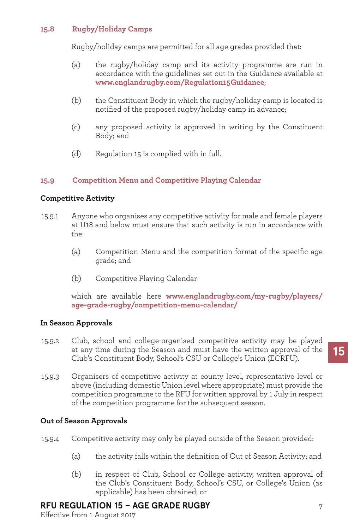#### **15.8 Rugby/Holiday Camps**

Rugby/holiday camps are permitted for all age grades provided that:

- (a) the rugby/holiday camp and its activity programme are run in accordance with the guidelines set out in the Guidance available at **www.englandrugby.com/Regulation15Guidance**;
- (b) the Constituent Body in which the rugby/holiday camp is located is notified of the proposed rugby/holiday camp in advance;
- (c) any proposed activity is approved in writing by the Constituent Body; and
- (d) Regulation 15 is complied with in full.

#### **15.9 Competition Menu and Competitive Playing Calendar**

#### **Competitive Activity**

- 15.9.1 Anyone who organises any competitive activity for male and female players at U18 and below must ensure that such activity is run in accordance with the:
	- (a) Competition Menu and the competition format of the specific age grade; and
	- (b) Competitive Playing Calendar

which are available here **www.englandrugby.com/my-rugby/players/ age-grade-rugby/competition-menu-calendar/**

#### **In Season Approvals**

- 15.9.2 Club, school and college-organised competitive activity may be played at any time during the Season and must have the written approval of the Club's Constituent Body, School's CSU or College's Union (ECRFU).
- 15.9.3 Organisers of competitive activity at county level, representative level or above (including domestic Union level where appropriate) must provide the competition programme to the RFU for written approval by 1 July in respect of the competition programme for the subsequent season.

#### **Out of Season Approvals**

- 15.9.4 Competitive activity may only be played outside of the Season provided:
	- (a) the activity falls within the definition of Out of Season Activity; and
	- (b) in respect of Club, School or College activity, written approval of the Club's Constituent Body, School's CSU, or College's Union (as applicable) has been obtained; or

# **RFU REGULATION 15 – AGE GRADE RUGBY**

Effective from 1 August 2017

7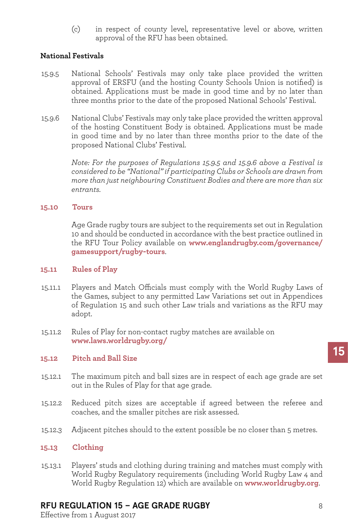(c) in respect of county level, representative level or above, written approval of the RFU has been obtained.

### **National Festivals**

- 15.9.5 National Schools' Festivals may only take place provided the written approval of ERSFU (and the hosting County Schools Union is notified) is obtained. Applications must be made in good time and by no later than three months prior to the date of the proposed National Schools' Festival.
- 15.9.6 National Clubs' Festivals may only take place provided the written approval of the hosting Constituent Body is obtained. Applications must be made in good time and by no later than three months prior to the date of the proposed National Clubs' Festival.

*Note: For the purposes of Regulations 15.9.5 and 15.9.6 above a Festival is considered to be "National" if participating Clubs or Schools are drawn from more than just neighbouring Constituent Bodies and there are more than six entrants.*

#### **15.10 Tours**

Age Grade rugby tours are subject to the requirements set out in Regulation 10 and should be conducted in accordance with the best practice outlined in the RFU Tour Policy available on **www.englandrugby.com/governance/ gamesupport/rugby-tours**.

#### **15.11 Rules of Play**

- 15.11.1 Players and Match Officials must comply with the World Rugby Laws of the Games, subject to any permitted Law Variations set out in Appendices of Regulation 15 and such other Law trials and variations as the RFU may adopt.
- 15.11.2 Rules of Play for non-contact rugby matches are available on **www.laws.worldrugby.org/**

#### **15.12 Pitch and Ball Size**

- 15.12.1 The maximum pitch and ball sizes are in respect of each age grade are set out in the Rules of Play for that age grade.
- 15.12.2 Reduced pitch sizes are acceptable if agreed between the referee and coaches, and the smaller pitches are risk assessed.
- 15.12.3 Adjacent pitches should to the extent possible be no closer than 5 metres.

#### **15.13 Clothing**

15.13.1 Players' studs and clothing during training and matches must comply with World Rugby Regulatory requirements (including World Rugby Law 4 and World Rugby Regulation 12) which are available on **www.worldrugby.org**.

# **RFU REGULATION 15 – AGE GRADE RUGBY**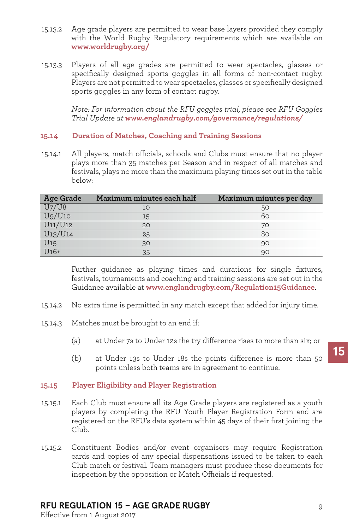- 15.13.2 Age grade players are permitted to wear base layers provided they comply with the World Rugby Regulatory requirements which are available on **www.worldrugby.org/**
- 15.13.3 Players of all age grades are permitted to wear spectacles, glasses or specifically designed sports goggles in all forms of non-contact rugby. Players are not permitted to wear spectacles, glasses or specifically designed sports goggles in any form of contact rugby.

*Note: For information about the RFU goggles trial, please see RFU Goggles Trial Update at www.englandrugby.com/governance/regulations/*

#### **15.14 Duration of Matches, Coaching and Training Sessions**

15.14.1 All players, match officials, schools and Clubs must ensure that no player plays more than 35 matches per Season and in respect of all matches and festivals, plays no more than the maximum playing times set out in the table below:

| Age Grade                                                                                     | Maximum minutes each half | Maximum minutes per day |
|-----------------------------------------------------------------------------------------------|---------------------------|-------------------------|
| $\frac{U7/U8}{U9/U10}$                                                                        | 10                        | 50                      |
|                                                                                               | 15                        | 60                      |
| $\frac{1}{\text{U11}/\text{U12}}$                                                             | 20                        | 70                      |
|                                                                                               | 25                        | 80                      |
| $\frac{\frac{0.11}{\sqrt{0.13}}}{\frac{\sqrt{13}}{\sqrt{14}}}}{\frac{\sqrt{15}}{\sqrt{16}}+}$ | 30                        | 90                      |
|                                                                                               | 35                        | 90                      |

Further guidance as playing times and durations for single fixtures, festivals, tournaments and coaching and training sessions are set out in the Guidance available at **www.englandrugby.com/Regulation15Guidance**.

- 15.14.2 No extra time is permitted in any match except that added for injury time.
- 15.14.3 Matches must be brought to an end if:
	- (a) at Under 7s to Under 12s the try difference rises to more than six; or
	- (b) at Under 13s to Under 18s the points difference is more than 50 points unless both teams are in agreement to continue.

#### **15.15 Player Eligibility and Player Registration**

- 15.15.1 Each Club must ensure all its Age Grade players are registered as a youth players by completing the RFU Youth Player Registration Form and are registered on the RFU's data system within 45 days of their first joining the Club.
- 15.15.2 Constituent Bodies and/or event organisers may require Registration cards and copies of any special dispensations issued to be taken to each Club match or festival. Team managers must produce these documents for inspection by the opposition or Match Officials if requested.

# **RFU REGULATION 15 – AGE GRADE RUGBY**